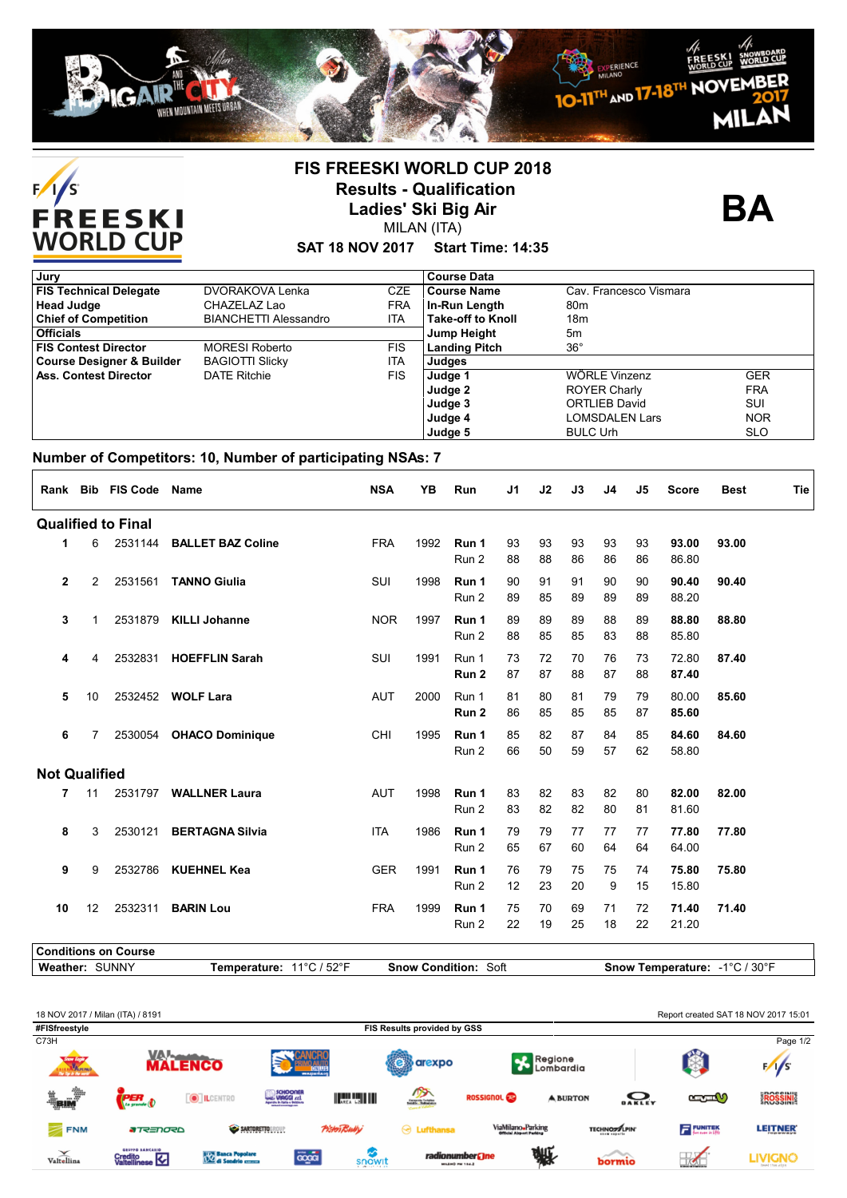



## **FIS FREESKI WORLD CUP 2018 Results - Qualification Ladies' Ski Big Air** MILAN (ITA)

**BA**

## **SAT 18 NOV 2017 Start Time: 14:35**

| Jury                                 |                              |            | <b>Course Data</b>       |                        |            |
|--------------------------------------|------------------------------|------------|--------------------------|------------------------|------------|
| <b>FIS Technical Delegate</b>        | DVORAKOVA Lenka              | <b>CZE</b> | <b>Course Name</b>       | Cav. Francesco Vismara |            |
| <b>Head Judge</b>                    | CHAZELAZ Lao                 | <b>FRA</b> | In-Run Length            | 80 <sub>m</sub>        |            |
| <b>Chief of Competition</b>          | <b>BIANCHETTI Alessandro</b> | <b>ITA</b> | <b>Take-off to Knoll</b> | 18m                    |            |
| <b>Officials</b>                     |                              |            | <b>Jump Height</b>       | 5m                     |            |
| <b>FIS Contest Director</b>          | <b>MORESI Roberto</b>        | <b>FIS</b> | <b>Landing Pitch</b>     | $36^{\circ}$           |            |
| <b>Course Designer &amp; Builder</b> | <b>BAGIOTTI Slicky</b>       | <b>ITA</b> | Judges                   |                        |            |
| <b>Ass. Contest Director</b>         | <b>DATE Ritchie</b>          | <b>FIS</b> | Judge 1                  | WÖRLE Vinzenz          | <b>GER</b> |
|                                      |                              |            | Judge 2                  | <b>ROYER Charly</b>    | <b>FRA</b> |
|                                      |                              |            | Judge 3                  | <b>ORTLIEB David</b>   | SUI        |
|                                      |                              |            | Judge 4                  | <b>LOMSDALEN Lars</b>  | <b>NOR</b> |
|                                      |                              |            | Judge 5                  | <b>BULC Urh</b>        | <b>SLO</b> |

## **Number of Competitors: 10, Number of participating NSAs: 7**

|                           |                | Rank Bib FIS Code Name |                           | <b>NSA</b> | YB   | Run                       | J1       | J2       | J3       | J <sub>4</sub> | J5       | <b>Score</b>   | <b>Best</b> | Tie |
|---------------------------|----------------|------------------------|---------------------------|------------|------|---------------------------|----------|----------|----------|----------------|----------|----------------|-------------|-----|
| <b>Qualified to Final</b> |                |                        |                           |            |      |                           |          |          |          |                |          |                |             |     |
| 1                         | 6              |                        | 2531144 BALLET BAZ Coline | <b>FRA</b> | 1992 | Run 1<br>Run 2            | 93<br>88 | 93<br>88 | 93<br>86 | 93<br>86       | 93<br>86 | 93.00<br>86.80 | 93.00       |     |
| $\mathbf{2}$              | $\overline{2}$ | 2531561                | <b>TANNO Giulia</b>       | SUI        | 1998 | Run 1<br>Run 2            | 90<br>89 | 91<br>85 | 91<br>89 | 90<br>89       | 90<br>89 | 90.40<br>88.20 | 90.40       |     |
| 3                         | 1              |                        | 2531879 KILLI Johanne     | <b>NOR</b> | 1997 | Run 1<br>Run 2            | 89<br>88 | 89<br>85 | 89<br>85 | 88<br>83       | 89<br>88 | 88.80<br>85.80 | 88.80       |     |
| 4                         | 4              | 2532831                | <b>HOEFFLIN Sarah</b>     | SUI        | 1991 | Run 1<br>Run <sub>2</sub> | 73<br>87 | 72<br>87 | 70<br>88 | 76<br>87       | 73<br>88 | 72.80<br>87.40 | 87.40       |     |
| 5                         | 10             |                        | 2532452 WOLF Lara         | <b>AUT</b> | 2000 | Run 1<br>Run 2            | 81<br>86 | 80<br>85 | 81<br>85 | 79<br>85       | 79<br>87 | 80.00<br>85.60 | 85.60       |     |
| 6                         | 7              | 2530054                | <b>OHACO Dominique</b>    | CHI        | 1995 | Run 1<br>Run 2            | 85<br>66 | 82<br>50 | 87<br>59 | 84<br>57       | 85<br>62 | 84.60<br>58.80 | 84.60       |     |
| <b>Not Qualified</b>      |                |                        |                           |            |      |                           |          |          |          |                |          |                |             |     |
| 7                         | 11             |                        | 2531797 WALLNER Laura     | <b>AUT</b> | 1998 | Run 1<br>Run 2            | 83<br>83 | 82<br>82 | 83<br>82 | 82<br>80       | 80<br>81 | 82.00<br>81.60 | 82.00       |     |
| 8                         | 3              |                        | 2530121 BERTAGNA Silvia   | <b>ITA</b> | 1986 | Run 1<br>Run 2            | 79<br>65 | 79<br>67 | 77<br>60 | 77<br>64       | 77<br>64 | 77.80<br>64.00 | 77.80       |     |
| 9                         | 9              |                        | 2532786 KUEHNEL Kea       | <b>GER</b> | 1991 | Run 1<br>Run 2            | 76<br>12 | 79<br>23 | 75<br>20 | 75<br>9        | 74<br>15 | 75.80<br>15.80 | 75.80       |     |
| 10                        | 12             | 2532311                | <b>BARIN Lou</b>          | <b>FRA</b> | 1999 | Run 1<br>Run 2            | 75<br>22 | 70<br>19 | 69<br>25 | 71<br>18       | 72<br>22 | 71.40<br>21.20 | 71.40       |     |
|                           |                |                        |                           |            |      |                           |          |          |          |                |          |                |             |     |

**Conditions on Course**

**Weather:** SUNNY **Temperature:** 11°C / 52°F **Snow Condition:** Soft **Snow Temperature:** -1°C / 30°F